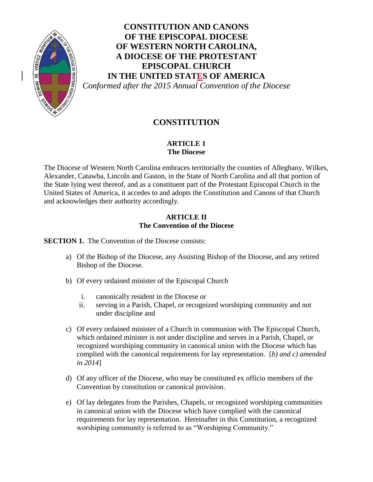

# **CONSTITUTION AND CANONS OF THE EPISCOPAL DIOCESE OF WESTERN NORTH CAROLINA, A DIOCESE OF THE PROTESTANT EPISCOPAL CHURCH IN THE UNITED STATES OF AMERICA**

*Conformed after the 2015 Annual Convention of the Diocese*

# **CONSTITUTION**

## **ARTICLE 1 The Diocese**

The Diocese of Western North Carolina embraces territorially the counties of Alleghany, Wilkes, Alexander, Catawba, Lincoln and Gaston, in the State of North Carolina and all that portion of the State lying west thereof, and as a constituent part of the Protestant Episcopal Church in the United States of America, it accedes to and adopts the Constitution and Canons of that Church and acknowledges their authority accordingly.

## **ARTICLE II The Convention of the Diocese**

**SECTION 1.** The Convention of the Diocese consists:

- a) Of the Bishop of the Diocese, any Assisting Bishop of the Diocese, and any retired Bishop of the Diocese.
- b) Of every ordained minister of the Episcopal Church
	- i. canonically resident in the Diocese or
	- ii. serving in a Parish, Chapel, or recognized worshiping community and not under discipline and
- c) Of every ordained minister of a Church in communion with The Episcopal Church, which ordained minister is not under discipline and serves in a Parish, Chapel, or recognized worshiping community in canonical union with the Diocese which has complied with the canonical requirements for lay representation. [*b) and c) amended in 2014*]
- d) Of any officer of the Diocese, who may be constituted ex officio members of the Convention by constitution or canonical provision.
- e) Of lay delegates from the Parishes, Chapels, or recognized worshiping communities in canonical union with the Diocese which have complied with the canonical requirements for lay representation. Hereinafter in this Constitution, a recognized worshiping community is referred to as "Worshiping Community."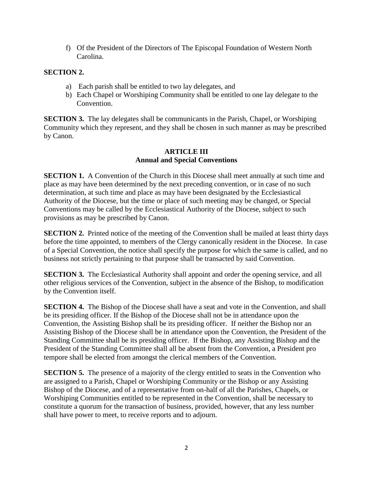f) Of the President of the Directors of The Episcopal Foundation of Western North Carolina.

## **SECTION 2.**

- a) Each parish shall be entitled to two lay delegates, and
- b) Each Chapel or Worshiping Community shall be entitled to one lay delegate to the Convention.

**SECTION 3.** The lay delegates shall be communicants in the Parish, Chapel, or Worshiping Community which they represent, and they shall be chosen in such manner as may be prescribed by Canon.

## **ARTICLE III Annual and Special Conventions**

**SECTION 1.** A Convention of the Church in this Diocese shall meet annually at such time and place as may have been determined by the next preceding convention, or in case of no such determination, at such time and place as may have been designated by the Ecclesiastical Authority of the Diocese, but the time or place of such meeting may be changed, or Special Conventions may be called by the Ecclesiastical Authority of the Diocese, subject to such provisions as may be prescribed by Canon.

**SECTION 2.** Printed notice of the meeting of the Convention shall be mailed at least thirty days before the time appointed, to members of the Clergy canonically resident in the Diocese. In case of a Special Convention, the notice shall specify the purpose for which the same is called, and no business not strictly pertaining to that purpose shall be transacted by said Convention.

**SECTION 3.** The Ecclesiastical Authority shall appoint and order the opening service, and all other religious services of the Convention, subject in the absence of the Bishop, to modification by the Convention itself.

**SECTION 4.** The Bishop of the Diocese shall have a seat and vote in the Convention, and shall be its presiding officer. If the Bishop of the Diocese shall not be in attendance upon the Convention, the Assisting Bishop shall be its presiding officer. If neither the Bishop nor an Assisting Bishop of the Diocese shall be in attendance upon the Convention, the President of the Standing Committee shall be its presiding officer. If the Bishop, any Assisting Bishop and the President of the Standing Committee shall all be absent from the Convention, a President pro tempore shall be elected from amongst the clerical members of the Convention.

**SECTION 5.** The presence of a majority of the clergy entitled to seats in the Convention who are assigned to a Parish, Chapel or Worshiping Community or the Bishop or any Assisting Bishop of the Diocese, and of a representative from on-half of all the Parishes, Chapels, or Worshiping Communities entitled to be represented in the Convention, shall be necessary to constitute a quorum for the transaction of business, provided, however, that any less number shall have power to meet, to receive reports and to adjourn.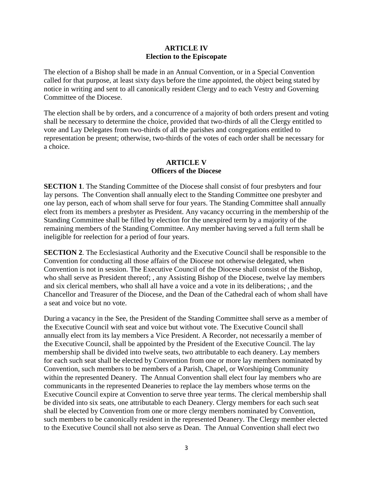#### **ARTICLE IV Election to the Episcopate**

The election of a Bishop shall be made in an Annual Convention, or in a Special Convention called for that purpose, at least sixty days before the time appointed, the object being stated by notice in writing and sent to all canonically resident Clergy and to each Vestry and Governing Committee of the Diocese.

The election shall be by orders, and a concurrence of a majority of both orders present and voting shall be necessary to determine the choice, provided that two-thirds of all the Clergy entitled to vote and Lay Delegates from two-thirds of all the parishes and congregations entitled to representation be present; otherwise, two-thirds of the votes of each order shall be necessary for a choice.

## **ARTICLE V Officers of the Diocese**

**SECTION 1**. The Standing Committee of the Diocese shall consist of four presbyters and four lay persons. The Convention shall annually elect to the Standing Committee one presbyter and one lay person, each of whom shall serve for four years. The Standing Committee shall annually elect from its members a presbyter as President. Any vacancy occurring in the membership of the Standing Committee shall be filled by election for the unexpired term by a majority of the remaining members of the Standing Committee. Any member having served a full term shall be ineligible for reelection for a period of four years.

**SECTION 2.** The Ecclesiastical Authority and the Executive Council shall be responsible to the Convention for conducting all those affairs of the Diocese not otherwise delegated, when Convention is not in session. The Executive Council of the Diocese shall consist of the Bishop, who shall serve as President thereof; , any Assisting Bishop of the Diocese, twelve lay members and six clerical members, who shall all have a voice and a vote in its deliberations; , and the Chancellor and Treasurer of the Diocese, and the Dean of the Cathedral each of whom shall have a seat and voice but no vote.

During a vacancy in the See, the President of the Standing Committee shall serve as a member of the Executive Council with seat and voice but without vote. The Executive Council shall annually elect from its lay members a Vice President. A Recorder, not necessarily a member of the Executive Council, shall be appointed by the President of the Executive Council. The lay membership shall be divided into twelve seats, two attributable to each deanery. Lay members for each such seat shall be elected by Convention from one or more lay members nominated by Convention, such members to be members of a Parish, Chapel, or Worshiping Community within the represented Deanery. The Annual Convention shall elect four lay members who are communicants in the represented Deaneries to replace the lay members whose terms on the Executive Council expire at Convention to serve three year terms. The clerical membership shall be divided into six seats, one attributable to each Deanery. Clergy members for each such seat shall be elected by Convention from one or more clergy members nominated by Convention, such members to be canonically resident in the represented Deanery. The Clergy member elected to the Executive Council shall not also serve as Dean. The Annual Convention shall elect two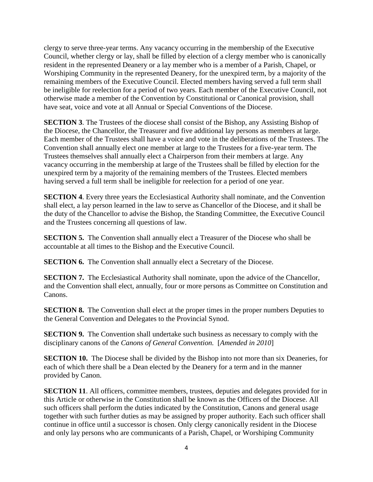clergy to serve three-year terms. Any vacancy occurring in the membership of the Executive Council, whether clergy or lay, shall be filled by election of a clergy member who is canonically resident in the represented Deanery or a lay member who is a member of a Parish, Chapel, or Worshiping Community in the represented Deanery, for the unexpired term, by a majority of the remaining members of the Executive Council. Elected members having served a full term shall be ineligible for reelection for a period of two years. Each member of the Executive Council, not otherwise made a member of the Convention by Constitutional or Canonical provision, shall have seat, voice and vote at all Annual or Special Conventions of the Diocese.

**SECTION 3**. The Trustees of the diocese shall consist of the Bishop, any Assisting Bishop of the Diocese, the Chancellor, the Treasurer and five additional lay persons as members at large. Each member of the Trustees shall have a voice and vote in the deliberations of the Trustees. The Convention shall annually elect one member at large to the Trustees for a five-year term. The Trustees themselves shall annually elect a Chairperson from their members at large. Any vacancy occurring in the membership at large of the Trustees shall be filled by election for the unexpired term by a majority of the remaining members of the Trustees. Elected members having served a full term shall be ineligible for reelection for a period of one year.

**SECTION 4.** Every three years the Ecclesiastical Authority shall nominate, and the Convention shall elect, a lay person learned in the law to serve as Chancellor of the Diocese, and it shall be the duty of the Chancellor to advise the Bishop, the Standing Committee, the Executive Council and the Trustees concerning all questions of law.

**SECTION 5.** The Convention shall annually elect a Treasurer of the Diocese who shall be accountable at all times to the Bishop and the Executive Council.

**SECTION 6.** The Convention shall annually elect a Secretary of the Diocese.

**SECTION 7.** The Ecclesiastical Authority shall nominate, upon the advice of the Chancellor, and the Convention shall elect, annually, four or more persons as Committee on Constitution and Canons.

**SECTION 8.** The Convention shall elect at the proper times in the proper numbers Deputies to the General Convention and Delegates to the Provincial Synod.

**SECTION 9.** The Convention shall undertake such business as necessary to comply with the disciplinary canons of the *Canons of General Convention.* [*Amended in 2010*]

**SECTION 10.** The Diocese shall be divided by the Bishop into not more than six Deaneries, for each of which there shall be a Dean elected by the Deanery for a term and in the manner provided by Canon.

**SECTION 11.** All officers, committee members, trustees, deputies and delegates provided for in this Article or otherwise in the Constitution shall be known as the Officers of the Diocese. All such officers shall perform the duties indicated by the Constitution, Canons and general usage together with such further duties as may be assigned by proper authority. Each such officer shall continue in office until a successor is chosen. Only clergy canonically resident in the Diocese and only lay persons who are communicants of a Parish, Chapel, or Worshiping Community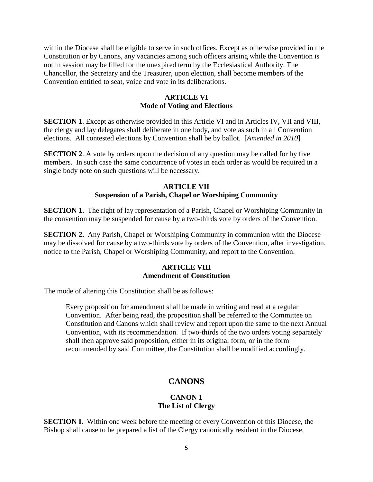within the Diocese shall be eligible to serve in such offices. Except as otherwise provided in the Constitution or by Canons, any vacancies among such officers arising while the Convention is not in session may be filled for the unexpired term by the Ecclesiastical Authority. The Chancellor, the Secretary and the Treasurer, upon election, shall become members of the Convention entitled to seat, voice and vote in its deliberations.

## **ARTICLE VI Mode of Voting and Elections**

**SECTION 1**. Except as otherwise provided in this Article VI and in Articles IV, VII and VIII, the clergy and lay delegates shall deliberate in one body, and vote as such in all Convention elections. All contested elections by Convention shall be by ballot. [*Amended in 2010*]

**SECTION 2.** A vote by orders upon the decision of any question may be called for by five members. In such case the same concurrence of votes in each order as would be required in a single body note on such questions will be necessary.

## **ARTICLE VII Suspension of a Parish, Chapel or Worshiping Community**

**SECTION 1.** The right of lay representation of a Parish, Chapel or Worshiping Community in the convention may be suspended for cause by a two-thirds vote by orders of the Convention.

**SECTION 2.** Any Parish, Chapel or Worshiping Community in communion with the Diocese may be dissolved for cause by a two-thirds vote by orders of the Convention, after investigation, notice to the Parish, Chapel or Worshiping Community, and report to the Convention.

## **ARTICLE VIII Amendment of Constitution**

The mode of altering this Constitution shall be as follows:

Every proposition for amendment shall be made in writing and read at a regular Convention. After being read, the proposition shall be referred to the Committee on Constitution and Canons which shall review and report upon the same to the next Annual Convention, with its recommendation. If two-thirds of the two orders voting separately shall then approve said proposition, either in its original form, or in the form recommended by said Committee, the Constitution shall be modified accordingly.

## **CANONS**

## **CANON 1 The List of Clergy**

**SECTION I.** Within one week before the meeting of every Convention of this Diocese, the Bishop shall cause to be prepared a list of the Clergy canonically resident in the Diocese,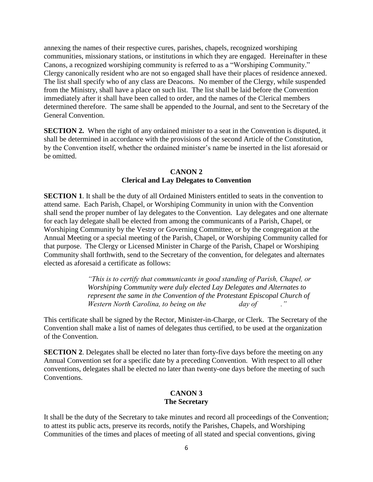annexing the names of their respective cures, parishes, chapels, recognized worshiping communities, missionary stations, or institutions in which they are engaged. Hereinafter in these Canons, a recognized worshiping community is referred to as a "Worshiping Community." Clergy canonically resident who are not so engaged shall have their places of residence annexed. The list shall specify who of any class are Deacons. No member of the Clergy, while suspended from the Ministry, shall have a place on such list. The list shall be laid before the Convention immediately after it shall have been called to order, and the names of the Clerical members determined therefore. The same shall be appended to the Journal, and sent to the Secretary of the General Convention.

**SECTION 2.** When the right of any ordained minister to a seat in the Convention is disputed, it shall be determined in accordance with the provisions of the second Article of the Constitution, by the Convention itself, whether the ordained minister's name be inserted in the list aforesaid or be omitted.

#### **CANON 2 Clerical and Lay Delegates to Convention**

**SECTION 1**. It shall be the duty of all Ordained Ministers entitled to seats in the convention to attend same. Each Parish, Chapel, or Worshiping Community in union with the Convention shall send the proper number of lay delegates to the Convention. Lay delegates and one alternate for each lay delegate shall be elected from among the communicants of a Parish, Chapel, or Worshiping Community by the Vestry or Governing Committee, or by the congregation at the Annual Meeting or a special meeting of the Parish, Chapel, or Worshiping Community called for that purpose. The Clergy or Licensed Minister in Charge of the Parish, Chapel or Worshiping Community shall forthwith, send to the Secretary of the convention, for delegates and alternates elected as aforesaid a certificate as follows:

> *"This is to certify that communicants in good standing of Parish, Chapel, or Worshiping Community were duly elected Lay Delegates and Alternates to represent the same in the Convention of the Protestant Episcopal Church of Western North Carolina, to being on the day of ."*

This certificate shall be signed by the Rector, Minister-in-Charge, or Clerk. The Secretary of the Convention shall make a list of names of delegates thus certified, to be used at the organization of the Convention.

**SECTION 2.** Delegates shall be elected no later than forty-five days before the meeting on any Annual Convention set for a specific date by a preceding Convention. With respect to all other conventions, delegates shall be elected no later than twenty-one days before the meeting of such Conventions.

#### **CANON 3 The Secretary**

It shall be the duty of the Secretary to take minutes and record all proceedings of the Convention; to attest its public acts, preserve its records, notify the Parishes, Chapels, and Worshiping Communities of the times and places of meeting of all stated and special conventions, giving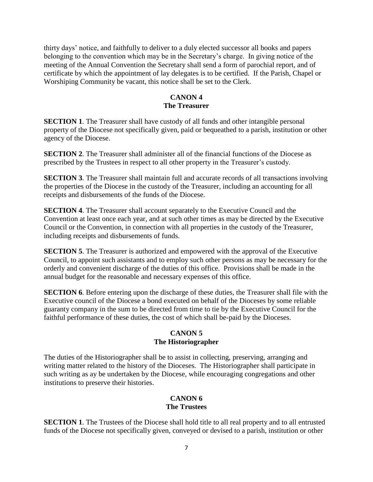thirty days' notice, and faithfully to deliver to a duly elected successor all books and papers belonging to the convention which may be in the Secretary's charge. In giving notice of the meeting of the Annual Convention the Secretary shall send a form of parochial report, and of certificate by which the appointment of lay delegates is to be certified. If the Parish, Chapel or Worshiping Community be vacant, this notice shall be set to the Clerk.

## **CANON 4 The Treasurer**

**SECTION 1**. The Treasurer shall have custody of all funds and other intangible personal property of the Diocese not specifically given, paid or bequeathed to a parish, institution or other agency of the Diocese.

**SECTION 2.** The Treasurer shall administer all of the financial functions of the Diocese as prescribed by the Trustees in respect to all other property in the Treasurer's custody.

**SECTION 3**. The Treasurer shall maintain full and accurate records of all transactions involving the properties of the Diocese in the custody of the Treasurer, including an accounting for all receipts and disbursements of the funds of the Diocese.

**SECTION 4**. The Treasurer shall account separately to the Executive Council and the Convention at least once each year, and at such other times as may be directed by the Executive Council or the Convention, in connection with all properties in the custody of the Treasurer, including receipts and disbursements of funds.

**SECTION 5**. The Treasurer is authorized and empowered with the approval of the Executive Council, to appoint such assistants and to employ such other persons as may be necessary for the orderly and convenient discharge of the duties of this office. Provisions shall be made in the annual budget for the reasonable and necessary expenses of this office.

**SECTION 6.** Before entering upon the discharge of these duties, the Treasurer shall file with the Executive council of the Diocese a bond executed on behalf of the Dioceses by some reliable guaranty company in the sum to be directed from time to tie by the Executive Council for the faithful performance of these duties, the cost of which shall be-paid by the Dioceses.

## **CANON 5 The Historiographer**

The duties of the Historiographer shall be to assist in collecting, preserving, arranging and writing matter related to the history of the Dioceses. The Historiographer shall participate in such writing as ay be undertaken by the Diocese, while encouraging congregations and other institutions to preserve their histories.

## **CANON 6 The Trustees**

**SECTION 1.** The Trustees of the Diocese shall hold title to all real property and to all entrusted funds of the Diocese not specifically given, conveyed or devised to a parish, institution or other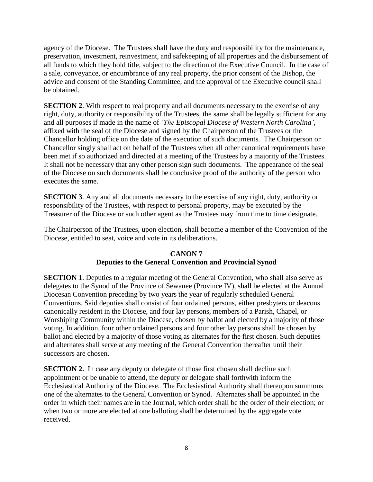agency of the Diocese. The Trustees shall have the duty and responsibility for the maintenance, preservation, investment, reinvestment, and safekeeping of all properties and the disbursement of all funds to which they hold title, subject to the direction of the Executive Council. In the case of a sale, conveyance, or encumbrance of any real property, the prior consent of the Bishop, the advice and consent of the Standing Committee, and the approval of the Executive council shall be obtained.

**SECTION 2.** With respect to real property and all documents necessary to the exercise of any right, duty, authority or responsibility of the Trustees, the same shall be legally sufficient for any and all purposes if made in the name of *'The Episcopal Diocese of Western North Carolina'*, affixed with the seal of the Diocese and signed by the Chairperson of the Trustees or the Chancellor holding office on the date of the execution of such documents. The Chairperson or Chancellor singly shall act on behalf of the Trustees when all other canonical requirements have been met if so authorized and directed at a meeting of the Trustees by a majority of the Trustees. It shall not be necessary that any other person sign such documents. The appearance of the seal of the Diocese on such documents shall be conclusive proof of the authority of the person who executes the same.

**SECTION 3**. Any and all documents necessary to the exercise of any right, duty, authority or responsibility of the Trustees, with respect to personal property, may be executed by the Treasurer of the Diocese or such other agent as the Trustees may from time to time designate.

The Chairperson of the Trustees, upon election, shall become a member of the Convention of the Diocese, entitled to seat, voice and vote in its deliberations.

#### **CANON 7**

#### **Deputies to the General Convention and Provincial Synod**

**SECTION 1**. Deputies to a regular meeting of the General Convention, who shall also serve as delegates to the Synod of the Province of Sewanee (Province IV), shall be elected at the Annual Diocesan Convention preceding by two years the year of regularly scheduled General Conventions. Said deputies shall consist of four ordained persons, either presbyters or deacons canonically resident in the Diocese, and four lay persons, members of a Parish, Chapel, or Worshiping Community within the Diocese, chosen by ballot and elected by a majority of those voting. In addition, four other ordained persons and four other lay persons shall be chosen by ballot and elected by a majority of those voting as alternates for the first chosen. Such deputies and alternates shall serve at any meeting of the General Convention thereafter until their successors are chosen.

**SECTION 2.** In case any deputy or delegate of those first chosen shall decline such appointment or be unable to attend, the deputy or delegate shall forthwith inform the Ecclesiastical Authority of the Diocese. The Ecclesiastical Authority shall thereupon summons one of the alternates to the General Convention or Synod. Alternates shall be appointed in the order in which their names are in the Journal, which order shall be the order of their election; or when two or more are elected at one balloting shall be determined by the aggregate vote received.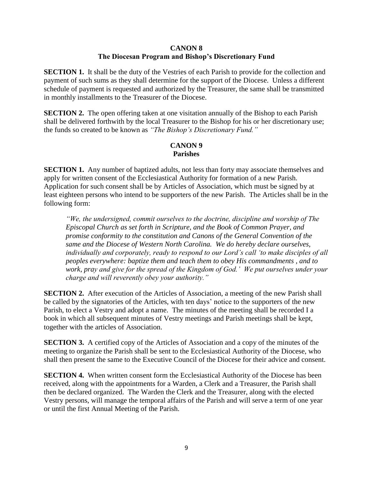#### **CANON 8 The Diocesan Program and Bishop's Discretionary Fund**

**SECTION 1.** It shall be the duty of the Vestries of each Parish to provide for the collection and payment of such sums as they shall determine for the support of the Diocese. Unless a different schedule of payment is requested and authorized by the Treasurer, the same shall be transmitted in monthly installments to the Treasurer of the Diocese.

**SECTION 2.** The open offering taken at one visitation annually of the Bishop to each Parish shall be delivered forthwith by the local Treasurer to the Bishop for his or her discretionary use; the funds so created to be known as *"The Bishop's Discretionary Fund."*

#### **CANON 9 Parishes**

**SECTION 1.** Any number of baptized adults, not less than forty may associate themselves and apply for written consent of the Ecclesiastical Authority for formation of a new Parish. Application for such consent shall be by Articles of Association, which must be signed by at least eighteen persons who intend to be supporters of the new Parish. The Articles shall be in the following form:

*"We, the undersigned, commit ourselves to the doctrine, discipline and worship of The Episcopal Church as set forth in Scripture, and the Book of Common Prayer, and promise conformity to the constitution and Canons of the General Convention of the same and the Diocese of Western North Carolina. We do hereby declare ourselves, individually and corporately, ready to respond to our Lord's call 'to make disciples of all peoples everywhere: baptize them and teach them to obey His commandments , and to work, pray and give for the spread of the Kingdom of God.' We put ourselves under your charge and will reverently obey your authority."*

**SECTION 2.** After execution of the Articles of Association, a meeting of the new Parish shall be called by the signatories of the Articles, with ten days' notice to the supporters of the new Parish, to elect a Vestry and adopt a name. The minutes of the meeting shall be recorded I a book in which all subsequent minutes of Vestry meetings and Parish meetings shall be kept, together with the articles of Association.

**SECTION 3.** A certified copy of the Articles of Association and a copy of the minutes of the meeting to organize the Parish shall be sent to the Ecclesiastical Authority of the Diocese, who shall then present the same to the Executive Council of the Diocese for their advice and consent.

**SECTION 4.** When written consent form the Ecclesiastical Authority of the Diocese has been received, along with the appointments for a Warden, a Clerk and a Treasurer, the Parish shall then be declared organized. The Warden the Clerk and the Treasurer, along with the elected Vestry persons, will manage the temporal affairs of the Parish and will serve a term of one year or until the first Annual Meeting of the Parish.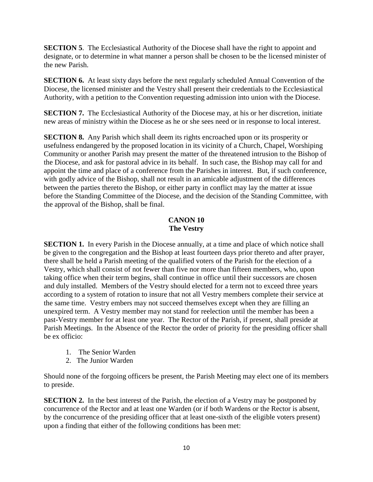**SECTION 5.** The Ecclesiastical Authority of the Diocese shall have the right to appoint and designate, or to determine in what manner a person shall be chosen to be the licensed minister of the new Parish.

**SECTION 6.** At least sixty days before the next regularly scheduled Annual Convention of the Diocese, the licensed minister and the Vestry shall present their credentials to the Ecclesiastical Authority, with a petition to the Convention requesting admission into union with the Diocese.

**SECTION 7.** The Ecclesiastical Authority of the Diocese may, at his or her discretion, initiate new areas of ministry within the Diocese as he or she sees need or in response to local interest.

**SECTION 8.** Any Parish which shall deem its rights encroached upon or its prosperity or usefulness endangered by the proposed location in its vicinity of a Church, Chapel, Worshiping Community or another Parish may present the matter of the threatened intrusion to the Bishop of the Diocese, and ask for pastoral advice in its behalf. In such case, the Bishop may call for and appoint the time and place of a conference from the Parishes in interest. But, if such conference, with godly advice of the Bishop, shall not result in an amicable adjustment of the differences between the parties thereto the Bishop, or either party in conflict may lay the matter at issue before the Standing Committee of the Diocese, and the decision of the Standing Committee, with the approval of the Bishop, shall be final.

## **CANON 10 The Vestry**

**SECTION 1.** In every Parish in the Diocese annually, at a time and place of which notice shall be given to the congregation and the Bishop at least fourteen days prior thereto and after prayer, there shall be held a Parish meeting of the qualified voters of the Parish for the election of a Vestry, which shall consist of not fewer than five nor more than fifteen members, who, upon taking office when their term begins, shall continue in office until their successors are chosen and duly installed. Members of the Vestry should elected for a term not to exceed three years according to a system of rotation to insure that not all Vestry members complete their service at the same time. Vestry embers may not succeed themselves except when they are filling an unexpired term. A Vestry member may not stand for reelection until the member has been a past-Vestry member for at least one year. The Rector of the Parish, if present, shall preside at Parish Meetings. In the Absence of the Rector the order of priority for the presiding officer shall be ex officio:

- 1. The Senior Warden
- 2. The Junior Warden

Should none of the forgoing officers be present, the Parish Meeting may elect one of its members to preside.

**SECTION 2.** In the best interest of the Parish, the election of a Vestry may be postponed by concurrence of the Rector and at least one Warden (or if both Wardens or the Rector is absent, by the concurrence of the presiding officer that at least one-sixth of the eligible voters present) upon a finding that either of the following conditions has been met: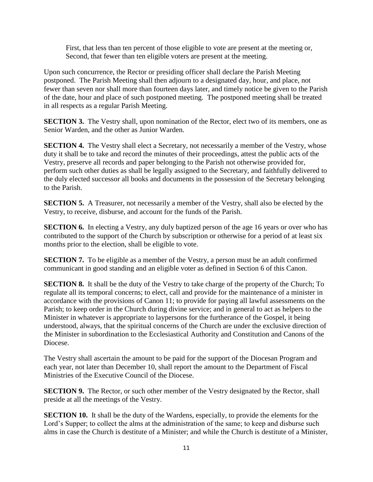First, that less than ten percent of those eligible to vote are present at the meeting or, Second, that fewer than ten eligible voters are present at the meeting.

Upon such concurrence, the Rector or presiding officer shall declare the Parish Meeting postponed. The Parish Meeting shall then adjourn to a designated day, hour, and place, not fewer than seven nor shall more than fourteen days later, and timely notice be given to the Parish of the date, hour and place of such postponed meeting. The postponed meeting shall be treated in all respects as a regular Parish Meeting.

**SECTION 3.** The Vestry shall, upon nomination of the Rector, elect two of its members, one as Senior Warden, and the other as Junior Warden.

**SECTION 4.** The Vestry shall elect a Secretary, not necessarily a member of the Vestry, whose duty it shall be to take and record the minutes of their proceedings, attest the public acts of the Vestry, preserve all records and paper belonging to the Parish not otherwise provided for, perform such other duties as shall be legally assigned to the Secretary, and faithfully delivered to the duly elected successor all books and documents in the possession of the Secretary belonging to the Parish.

**SECTION 5.** A Treasurer, not necessarily a member of the Vestry, shall also be elected by the Vestry, to receive, disburse, and account for the funds of the Parish.

**SECTION 6.** In electing a Vestry, any duly baptized person of the age 16 years or over who has contributed to the support of the Church by subscription or otherwise for a period of at least six months prior to the election, shall be eligible to vote.

**SECTION 7.** To be eligible as a member of the Vestry, a person must be an adult confirmed communicant in good standing and an eligible voter as defined in Section 6 of this Canon.

**SECTION 8.** It shall be the duty of the Vestry to take charge of the property of the Church; To regulate all its temporal concerns; to elect, call and provide for the maintenance of a minister in accordance with the provisions of Canon 11; to provide for paying all lawful assessments on the Parish; to keep order in the Church during divine service; and in general to act as helpers to the Minister in whatever is appropriate to laypersons for the furtherance of the Gospel, it being understood, always, that the spiritual concerns of the Church are under the exclusive direction of the Minister in subordination to the Ecclesiastical Authority and Constitution and Canons of the Diocese.

The Vestry shall ascertain the amount to be paid for the support of the Diocesan Program and each year, not later than December 10, shall report the amount to the Department of Fiscal Ministries of the Executive Council of the Diocese.

**SECTION 9.** The Rector, or such other member of the Vestry designated by the Rector, shall preside at all the meetings of the Vestry.

**SECTION 10.** It shall be the duty of the Wardens, especially, to provide the elements for the Lord's Supper; to collect the alms at the administration of the same; to keep and disburse such alms in case the Church is destitute of a Minister; and while the Church is destitute of a Minister,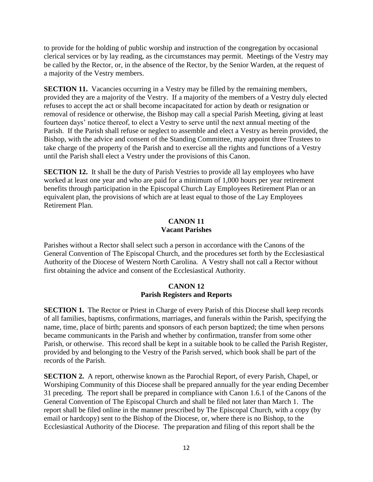to provide for the holding of public worship and instruction of the congregation by occasional clerical services or by lay reading, as the circumstances may permit. Meetings of the Vestry may be called by the Rector, or, in the absence of the Rector, by the Senior Warden, at the request of a majority of the Vestry members.

**SECTION 11.** Vacancies occurring in a Vestry may be filled by the remaining members, provided they are a majority of the Vestry. If a majority of the members of a Vestry duly elected refuses to accept the act or shall become incapacitated for action by death or resignation or removal of residence or otherwise, the Bishop may call a special Parish Meeting, giving at least fourteen days' notice thereof, to elect a Vestry to serve until the next annual meeting of the Parish. If the Parish shall refuse or neglect to assemble and elect a Vestry as herein provided, the Bishop, with the advice and consent of the Standing Committee, may appoint three Trustees to take charge of the property of the Parish and to exercise all the rights and functions of a Vestry until the Parish shall elect a Vestry under the provisions of this Canon.

**SECTION 12.** It shall be the duty of Parish Vestries to provide all lay employees who have worked at least one year and who are paid for a minimum of 1,000 hours per year retirement benefits through participation in the Episcopal Church Lay Employees Retirement Plan or an equivalent plan, the provisions of which are at least equal to those of the Lay Employees Retirement Plan.

## **CANON 11 Vacant Parishes**

Parishes without a Rector shall select such a person in accordance with the Canons of the General Convention of The Episcopal Church, and the procedures set forth by the Ecclesiastical Authority of the Diocese of Western North Carolina. A Vestry shall not call a Rector without first obtaining the advice and consent of the Ecclesiastical Authority.

## **CANON 12 Parish Registers and Reports**

**SECTION 1.** The Rector or Priest in Charge of every Parish of this Diocese shall keep records of all families, baptisms, confirmations, marriages, and funerals within the Parish, specifying the name, time, place of birth; parents and sponsors of each person baptized; the time when persons became communicants in the Parish and whether by confirmation, transfer from some other Parish, or otherwise. This record shall be kept in a suitable book to be called the Parish Register, provided by and belonging to the Vestry of the Parish served, which book shall be part of the records of the Parish.

**SECTION 2.** A report, otherwise known as the Parochial Report, of every Parish, Chapel, or Worshiping Community of this Diocese shall be prepared annually for the year ending December 31 preceding. The report shall be prepared in compliance with Canon 1.6.1 of the Canons of the General Convention of The Episcopal Church and shall be filed not later than March 1. The report shall be filed online in the manner prescribed by The Episcopal Church, with a copy (by email or hardcopy) sent to the Bishop of the Diocese, or, where there is no Bishop, to the Ecclesiastical Authority of the Diocese. The preparation and filing of this report shall be the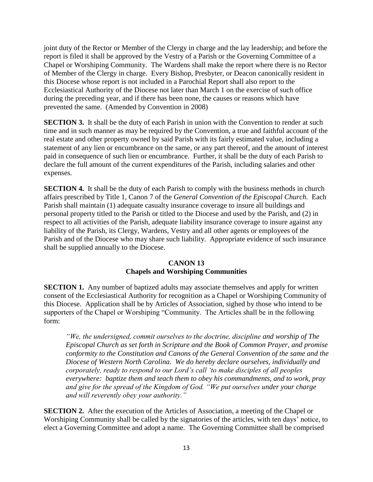joint duty of the Rector or Member of the Clergy in charge and the lay leadership; and before the report is filed it shall be approved by the Vestry of a Parish or the Governing Committee of a Chapel or Worshiping Community. The Wardens shall make the report where there is no Rector of Member of the Clergy in charge. Every Bishop, Presbyter, or Deacon canonically resident in this Diocese whose report is not included in a Parochial Report shall also report to the Ecclesiastical Authority of the Diocese not later than March 1 on the exercise of such office during the preceding year, and if there has been none, the causes or reasons which have prevented the same. (Amended by Convention in 2008)

**SECTION 3.** It shall be the duty of each Parish in union with the Convention to render at such time and in such manner as may be required by the Convention, a true and faithful account of the real estate and other property owned by said Parish with its fairly estimated value, including a statement of any lien or encumbrance on the same, or any part thereof, and the amount of interest paid in consequence of such lien or encumbrance. Further, it shall be the duty of each Parish to declare the full amount of the current expenditures of the Parish, including salaries and other expenses.

**SECTION 4.** It shall be the duty of each Parish to comply with the business methods in church affairs prescribed by Title 1, Canon 7 of the *General Convention of the Episcopal Church*. Each Parish shall maintain (1) adequate casualty insurance coverage to insure all buildings and personal property titled to the Parish or titled to the Diocese and used by the Parish, and (2) in respect to all activities of the Parish, adequate liability insurance coverage to insure against any liability of the Parish, its Clergy, Wardens, Vestry and all other agents or employees of the Parish and of the Diocese who may share such liability. Appropriate evidence of such insurance shall be supplied annually to the Diocese.

#### **CANON 13 Chapels and Worshiping Communities**

**SECTION 1.** Any number of baptized adults may associate themselves and apply for written consent of the Ecclesiastical Authority for recognition as a Chapel or Worshiping Community of this Diocese. Application shall be by Articles of Association, sighed by those who intend to be supporters of the Chapel or Worshiping "Community. The Articles shall be in the following form:

*"We, the undersigned, commit ourselves to the doctrine, discipline and worship of The Episcopal Church as set forth in Scripture and the Book of Common Prayer, and promise conformity to the Constitution and Canons of the General Convention of the same and the Diocese of Western North Carolina. We do hereby declare ourselves, individually and corporately, ready to respond to our Lord's call 'to make disciples of all peoples everywhere: baptize them and teach them to obey his commandments, and to work, pray and give for the spread of the Kingdom of God. "We put ourselves under your charge and will reverently obey your authority."*

**SECTION 2.** After the execution of the Articles of Association, a meeting of the Chapel or Worshiping Community shall be called by the signatories of the articles, with ten days' notice, to elect a Governing Committee and adopt a name. The Governing Committee shall be comprised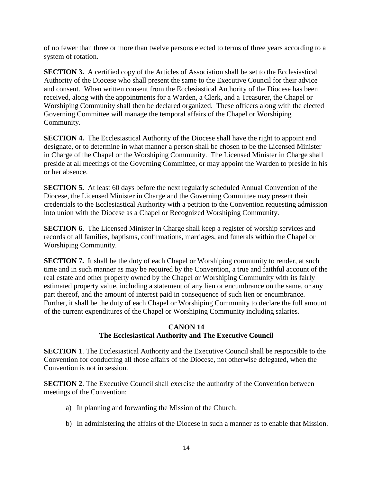of no fewer than three or more than twelve persons elected to terms of three years according to a system of rotation.

**SECTION 3.** A certified copy of the Articles of Association shall be set to the Ecclesiastical Authority of the Diocese who shall present the same to the Executive Council for their advice and consent. When written consent from the Ecclesiastical Authority of the Diocese has been received, along with the appointments for a Warden, a Clerk, and a Treasurer, the Chapel or Worshiping Community shall then be declared organized. These officers along with the elected Governing Committee will manage the temporal affairs of the Chapel or Worshiping Community.

**SECTION 4.** The Ecclesiastical Authority of the Diocese shall have the right to appoint and designate, or to determine in what manner a person shall be chosen to be the Licensed Minister in Charge of the Chapel or the Worshiping Community. The Licensed Minister in Charge shall preside at all meetings of the Governing Committee, or may appoint the Warden to preside in his or her absence.

**SECTION 5.** At least 60 days before the next regularly scheduled Annual Convention of the Diocese, the Licensed Minister in Charge and the Governing Committee may present their credentials to the Ecclesiastical Authority with a petition to the Convention requesting admission into union with the Diocese as a Chapel or Recognized Worshiping Community.

**SECTION 6.** The Licensed Minister in Charge shall keep a register of worship services and records of all families, baptisms, confirmations, marriages, and funerals within the Chapel or Worshiping Community.

**SECTION 7.** It shall be the duty of each Chapel or Worshiping community to render, at such time and in such manner as may be required by the Convention, a true and faithful account of the real estate and other property owned by the Chapel or Worshiping Community with its fairly estimated property value, including a statement of any lien or encumbrance on the same, or any part thereof, and the amount of interest paid in consequence of such lien or encumbrance. Further, it shall be the duty of each Chapel or Worshiping Community to declare the full amount of the current expenditures of the Chapel or Worshiping Community including salaries.

## **CANON 14 The Ecclesiastical Authority and The Executive Council**

**SECTION** 1. The Ecclesiastical Authority and the Executive Council shall be responsible to the Convention for conducting all those affairs of the Diocese, not otherwise delegated, when the Convention is not in session.

**SECTION 2**. The Executive Council shall exercise the authority of the Convention between meetings of the Convention:

- a) In planning and forwarding the Mission of the Church.
- b) In administering the affairs of the Diocese in such a manner as to enable that Mission.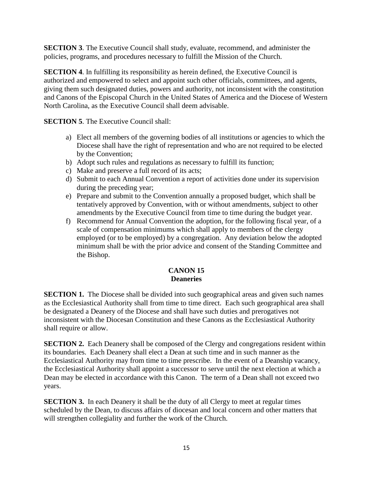**SECTION 3**. The Executive Council shall study, evaluate, recommend, and administer the policies, programs, and procedures necessary to fulfill the Mission of the Church.

**SECTION 4**. In fulfilling its responsibility as herein defined, the Executive Council is authorized and empowered to select and appoint such other officials, committees, and agents, giving them such designated duties, powers and authority, not inconsistent with the constitution and Canons of the Episcopal Church in the United States of America and the Diocese of Western North Carolina, as the Executive Council shall deem advisable.

**SECTION 5**. The Executive Council shall:

- a) Elect all members of the governing bodies of all institutions or agencies to which the Diocese shall have the right of representation and who are not required to be elected by the Convention;
- b) Adopt such rules and regulations as necessary to fulfill its function;
- c) Make and preserve a full record of its acts;
- d) Submit to each Annual Convention a report of activities done under its supervision during the preceding year;
- e) Prepare and submit to the Convention annually a proposed budget, which shall be tentatively approved by Convention, with or without amendments, subject to other amendments by the Executive Council from time to time during the budget year.
- f) Recommend for Annual Convention the adoption, for the following fiscal year, of a scale of compensation minimums which shall apply to members of the clergy employed (or to be employed) by a congregation. Any deviation below the adopted minimum shall be with the prior advice and consent of the Standing Committee and the Bishop.

## **CANON 15 Deaneries**

**SECTION 1.** The Diocese shall be divided into such geographical areas and given such names as the Ecclesiastical Authority shall from time to time direct. Each such geographical area shall be designated a Deanery of the Diocese and shall have such duties and prerogatives not inconsistent with the Diocesan Constitution and these Canons as the Ecclesiastical Authority shall require or allow.

**SECTION 2.** Each Deanery shall be composed of the Clergy and congregations resident within its boundaries. Each Deanery shall elect a Dean at such time and in such manner as the Ecclesiastical Authority may from time to time prescribe. In the event of a Deanship vacancy, the Ecclesiastical Authority shall appoint a successor to serve until the next election at which a Dean may be elected in accordance with this Canon. The term of a Dean shall not exceed two years.

**SECTION 3.** In each Deanery it shall be the duty of all Clergy to meet at regular times scheduled by the Dean, to discuss affairs of diocesan and local concern and other matters that will strengthen collegiality and further the work of the Church.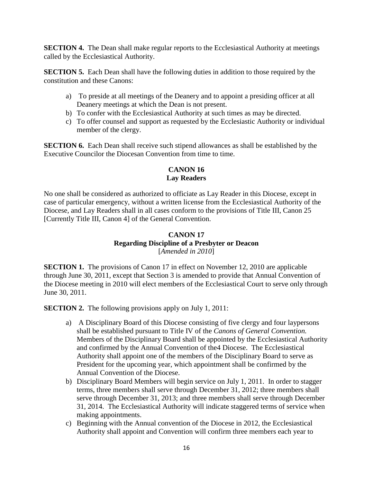**SECTION 4.** The Dean shall make regular reports to the Ecclesiastical Authority at meetings called by the Ecclesiastical Authority.

**SECTION 5.** Each Dean shall have the following duties in addition to those required by the constitution and these Canons:

- a) To preside at all meetings of the Deanery and to appoint a presiding officer at all Deanery meetings at which the Dean is not present.
- b) To confer with the Ecclesiastical Authority at such times as may be directed.
- c) To offer counsel and support as requested by the Ecclesiastic Authority or individual member of the clergy.

**SECTION 6.** Each Dean shall receive such stipend allowances as shall be established by the Executive Councilor the Diocesan Convention from time to time.

## **CANON 16 Lay Readers**

No one shall be considered as authorized to officiate as Lay Reader in this Diocese, except in case of particular emergency, without a written license from the Ecclesiastical Authority of the Diocese, and Lay Readers shall in all cases conform to the provisions of Title III, Canon 25 [Currently Title III, Canon 4] of the General Convention.

## **CANON 17 Regarding Discipline of a Presbyter or Deacon** [*Amended in 2010*]

**SECTION 1.** The provisions of Canon 17 in effect on November 12, 2010 are applicable through June 30, 2011, except that Section 3 is amended to provide that Annual Convention of the Diocese meeting in 2010 will elect members of the Ecclesiastical Court to serve only through June 30, 2011.

**SECTION 2.** The following provisions apply on July 1, 2011:

- a) A Disciplinary Board of this Diocese consisting of five clergy and four laypersons shall be established pursuant to Title IV of the *Canons of General Convention.*  Members of the Disciplinary Board shall be appointed by the Ecclesiastical Authority and confirmed by the Annual Convention of the4 Diocese. The Ecclesiastical Authority shall appoint one of the members of the Disciplinary Board to serve as President for the upcoming year, which appointment shall be confirmed by the Annual Convention of the Diocese.
- b) Disciplinary Board Members will begin service on July 1, 2011. In order to stagger terms, three members shall serve through December 31, 2012; three members shall serve through December 31, 2013; and three members shall serve through December 31, 2014. The Ecclesiastical Authority will indicate staggered terms of service when making appointments.
- c) Beginning with the Annual convention of the Diocese in 2012, the Ecclesiastical Authority shall appoint and Convention will confirm three members each year to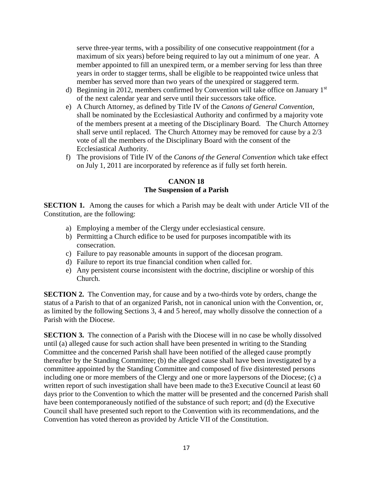serve three-year terms, with a possibility of one consecutive reappointment (for a maximum of six years) before being required to lay out a minimum of one year. A member appointed to fill an unexpired term, or a member serving for less than three years in order to stagger terms, shall be eligible to be reappointed twice unless that member has served more than two years of the unexpired or staggered term.

- d) Beginning in 2012, members confirmed by Convention will take office on January 1st of the next calendar year and serve until their successors take office.
- e) A Church Attorney, as defined by Title IV of the *Canons of General Convention,*  shall be nominated by the Ecclesiastical Authority and confirmed by a majority vote of the members present at a meeting of the Disciplinary Board. The Church Attorney shall serve until replaced. The Church Attorney may be removed for cause by a 2/3 vote of all the members of the Disciplinary Board with the consent of the Ecclesiastical Authority.
- f) The provisions of Title IV of the *Canons of the General Convention* which take effect on July 1, 2011 are incorporated by reference as if fully set forth herein.

## **CANON 18 The Suspension of a Parish**

**SECTION 1.** Among the causes for which a Parish may be dealt with under Article VII of the Constitution, are the following:

- a) Employing a member of the Clergy under ecclesiastical censure.
- b) Permitting a Church edifice to be used for purposes incompatible with its consecration.
- c) Failure to pay reasonable amounts in support of the diocesan program.
- d) Failure to report its true financial condition when called for.
- e) Any persistent course inconsistent with the doctrine, discipline or worship of this Church.

**SECTION 2.** The Convention may, for cause and by a two-thirds vote by orders, change the status of a Parish to that of an organized Parish, not in canonical union with the Convention, or, as limited by the following Sections 3, 4 and 5 hereof, may wholly dissolve the connection of a Parish with the Diocese.

**SECTION 3.** The connection of a Parish with the Diocese will in no case be wholly dissolved until (a) alleged cause for such action shall have been presented in writing to the Standing Committee and the concerned Parish shall have been notified of the alleged cause promptly thereafter by the Standing Committee; (b) the alleged cause shall have been investigated by a committee appointed by the Standing Committee and composed of five disinterested persons including one or more members of the Clergy and one or more laypersons of the Diocese; (c) a written report of such investigation shall have been made to the3 Executive Council at least 60 days prior to the Convention to which the matter will be presented and the concerned Parish shall have been contemporaneously notified of the substance of such report; and (d) the Executive Council shall have presented such report to the Convention with its recommendations, and the Convention has voted thereon as provided by Article VII of the Constitution.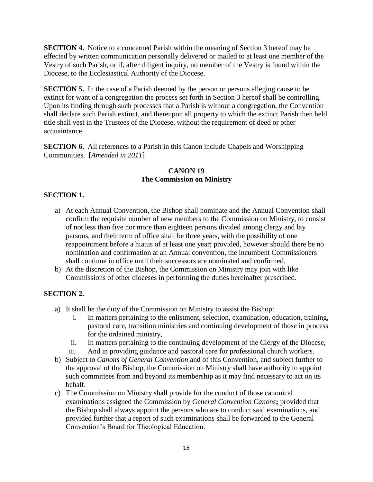**SECTION 4.** Notice to a concerned Parish within the meaning of Section 3 hereof may be effected by written communication personally delivered or mailed to at least one member of the Vestry of such Parish, or if, after diligent inquiry, no member of the Vestry is found within the Diocese, to the Ecclesiastical Authority of the Diocese.

**SECTION 5.** In the case of a Parish deemed by the person or persons alleging cause to be extinct for want of a congregation the process set forth in Section 3 hereof shall be controlling. Upon its finding through such processes that a Parish is without a congregation, the Convention shall declare such Parish extinct, and thereupon all property to which the extinct Parish then held title shall vest in the Trustees of the Diocese, without the requirement of deed or other acquaintance.

**SECTION 6.** All references to a Parish in this Canon include Chapels and Worshipping Communities. [*Amended in 2011*]

#### **CANON 19 The Commission on Ministry**

## **SECTION 1.**

- a) At each Annual Convention, the Bishop shall nominate and the Annual Convention shall confirm the requisite number of new members to the Commission on Ministry, to consist of not less than five nor more than eighteen persons divided among clergy and lay persons, and their term of office shall be three years, with the possibility of one reappointment before a hiatus of at least one year; provided, however should there be no nomination and confirmation at an Annual convention, the incumbent Commissioners shall continue in office until their successors are nominated and confirmed.
- b) At the discretion of the Bishop, the Commission on Ministry may join with like Commissions of other dioceses in performing the duties hereinafter prescribed.

## **SECTION 2.**

- a) It shall be the duty of the Commission on Ministry to assist the Bishop:
	- i. In matters pertaining to the enlistment, selection, examination, education, training, pastoral care, transition ministries and continuing development of those in process for the ordained ministry,
	- ii. In matters pertaining to the continuing development of the Clergy of the Diocese,
	- iii. And in providing guidance and pastoral care for professional church workers.
- b) Subject to *Canons of General Convention* and of this Convention, and subject further to the approval of the Bishop, the Commission on Ministry shall have authority to appoint such committees from and beyond its membership as it may find necessary to act on its behalf.
- c) The Commission on Ministry shall provide for the conduct of those canonical examinations assigned the Commission by *General Convention Canons***;** provided that the Bishop shall always appoint the persons who are to conduct said examinations, and provided further that a report of such examinations shall be forwarded to the General Convention's Board for Theological Education.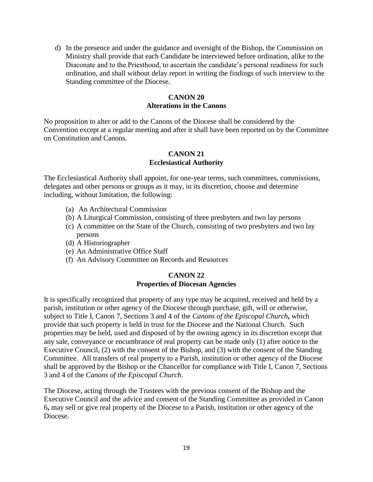d) In the presence and under the guidance and oversight of the Bishop, the Commission on Ministry shall provide that each Candidate be interviewed before ordination, alike to the Diaconate and to the Priesthood, to ascertain the candidate's personal readiness for such ordination, and shall without delay report in writing the findings of such interview to the Standing committee of the Diocese.

## **CANON 20 Alterations in the Canons**

No proposition to alter or add to the Canons of the Diocese shall be considered by the Convention except at a regular meeting and after it shall have been reported on by the Committee on Constitution and Canons.

#### **CANON 21 Ecclesiastical Authority**

The Ecclesiastical Authority shall appoint, for one-year terms, such committees, commissions, delegates and other persons or groups as it may, in its discretion, choose and determine including, without limitation, the following:

- (a) An Architectural Commission
- (b) A Liturgical Commission, consisting of three presbyters and two lay persons
- (c) A committee on the State of the Church, consisting of two presbyters and two lay persons
- (d) A Historiographer
- (e) An Administrative Office Staff
- (f) An Advisory Committee on Records and Resources

#### **CANON 22 Properties of Diocesan Agencies**

It is specifically recognized that property of any type may be acquired, received and held by a parish, institution or other agency of the Diocese through purchase, gift, will or otherwise, subject to Title I, Canon 7, Sections 3 and 4 of the *Canons of the Episcopal Church***,** which provide that such property is held in trust for the Diocese and the National Church. Such properties may be held, used and disposed of by the owning agency in its discretion except that any sale, conveyance or encumbrance of real property can be made only (1) after notice to the Executive Council, (2) with the consent of the Bishop, and (3) with the consent of the Standing Committee. All transfers of real property to a Parish, institution or other agency of the Diocese shall be approved by the Bishop or the Chancellor for compliance with Title I, Canon 7, Sections 3 and 4 of the *Canons of the Episcopal Church*.

The Diocese, acting through the Trustees with the previous consent of the Bishop and the Executive Council and the advice and consent of the Standing Committee as provided in Canon 6**,** may sell or give real property of the Diocese to a Parish, institution or other agency of the Diocese.